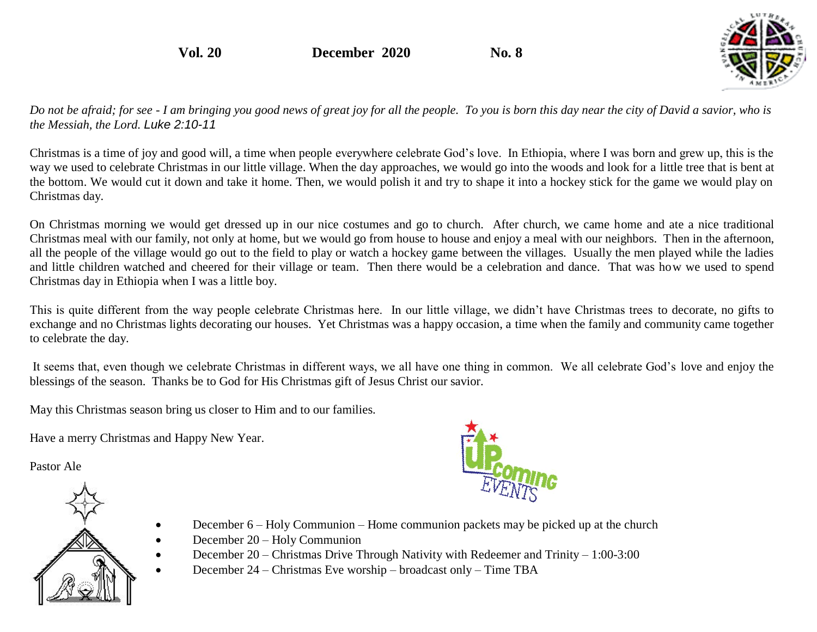**Vol. 20 December 2020 No. 8**



*Do not be afraid; for see - I am bringing you good news of great joy for all the people. To you is born this day near the city of David a savior, who is the Messiah, the Lord. Luke 2:10-11* 

Christmas is a time of joy and good will, a time when people everywhere celebrate God's love. In Ethiopia, where I was born and grew up, this is the way we used to celebrate Christmas in our little village. When the day approaches, we would go into the woods and look for a little tree that is bent at the bottom. We would cut it down and take it home. Then, we would polish it and try to shape it into a hockey stick for the game we would play on Christmas day.

On Christmas morning we would get dressed up in our nice costumes and go to church. After church, we came home and ate a nice traditional Christmas meal with our family, not only at home, but we would go from house to house and enjoy a meal with our neighbors. Then in the afternoon, all the people of the village would go out to the field to play or watch a hockey game between the villages. Usually the men played while the ladies and little children watched and cheered for their village or team. Then there would be a celebration and dance. That was how we used to spend Christmas day in Ethiopia when I was a little boy.

This is quite different from the way people celebrate Christmas here. In our little village, we didn't have Christmas trees to decorate, no gifts to exchange and no Christmas lights decorating our houses. Yet Christmas was a happy occasion, a time when the family and community came together to celebrate the day.

It seems that, even though we celebrate Christmas in different ways, we all have one thing in common. We all celebrate God's love and enjoy the blessings of the season. Thanks be to God for His Christmas gift of Jesus Christ our savior.

May this Christmas season bring us closer to Him and to our families.

Have a merry Christmas and Happy New Year.

Pastor Ale





- December 6 Holy Communion Home communion packets may be picked up at the church
- December 20 Holy Communion
- December 20 Christmas Drive Through Nativity with Redeemer and Trinity 1:00-3:00
- December 24 Christmas Eve worship broadcast only Time TBA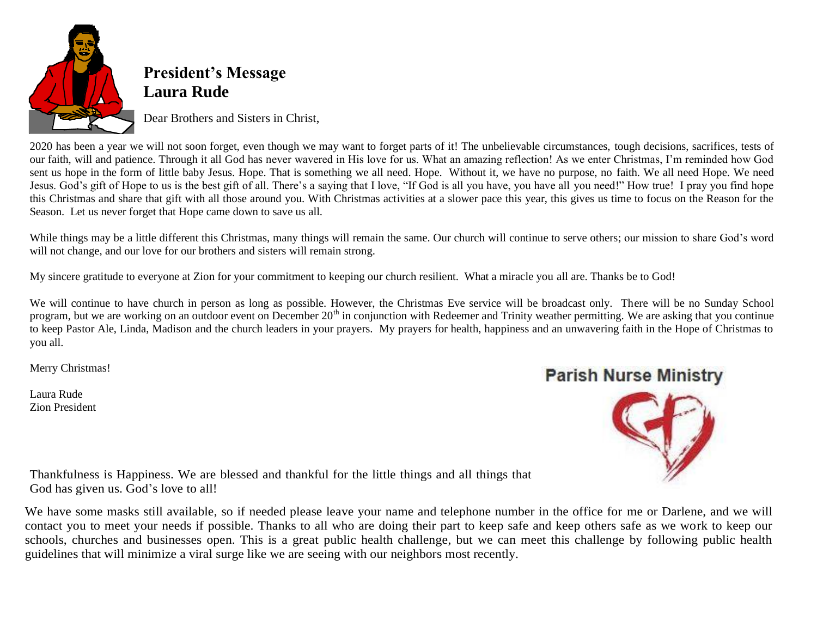

## **President's Message Laura Rude**

Dear Brothers and Sisters in Christ,

2020 has been a year we will not soon forget, even though we may want to forget parts of it! The unbelievable circumstances, tough decisions, sacrifices, tests of our faith, will and patience. Through it all God has never wavered in His love for us. What an amazing reflection! As we enter Christmas, I'm reminded how God sent us hope in the form of little baby Jesus. Hope. That is something we all need. Hope. Without it, we have no purpose, no faith. We all need Hope. We need Jesus. God's gift of Hope to us is the best gift of all. There's a saying that I love, "If God is all you have, you have all you need!" How true! I pray you find hope this Christmas and share that gift with all those around you. With Christmas activities at a slower pace this year, this gives us time to focus on the Reason for the Season. Let us never forget that Hope came down to save us all.

While things may be a little different this Christmas, many things will remain the same. Our church will continue to serve others; our mission to share God's word will not change, and our love for our brothers and sisters will remain strong.

My sincere gratitude to everyone at Zion for your commitment to keeping our church resilient. What a miracle you all are. Thanks be to God!

We will continue to have church in person as long as possible. However, the Christmas Eve service will be broadcast only. There will be no Sunday School program, but we are working on an outdoor event on December 20<sup>th</sup> in conjunction with Redeemer and Trinity weather permitting. We are asking that you continue to keep Pastor Ale, Linda, Madison and the church leaders in your prayers. My prayers for health, happiness and an unwavering faith in the Hope of Christmas to you all.

Merry Christmas!

Laura Rude Zion President

## **Parish Nurse Ministry**



Thankfulness is Happiness. We are blessed and thankful for the little things and all things that God has given us. God's love to all!

We have some masks still available, so if needed please leave your name and telephone number in the office for me or Darlene, and we will contact you to meet your needs if possible. Thanks to all who are doing their part to keep safe and keep others safe as we work to keep our schools, churches and businesses open. This is a great public health challenge, but we can meet this challenge by following public health guidelines that will minimize a viral surge like we are seeing with our neighbors most recently.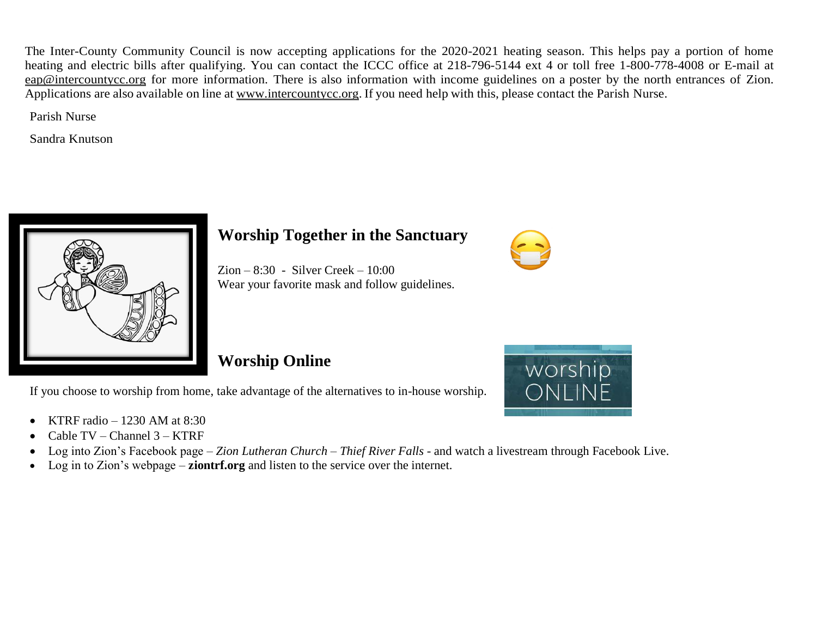The Inter-County Community Council is now accepting applications for the 2020-2021 heating season. This helps pay a portion of home heating and electric bills after qualifying. You can contact the ICCC office at 218-796-5144 ext 4 or toll free 1-800-778-4008 or E-mail at [eap@intercountycc.org](mailto:eap@intercountycc.org) for more information. There is also information with income guidelines on a poster by the north entrances of Zion. Applications are also available on line at [www.intercountycc.org.](http://www.intercountycc.org/) If you need help with this, please contact the Parish Nurse.

Parish Nurse

Sandra Knutson



### **Worship Together in the Sanctuary**

Zion – 8:30 - Silver Creek – 10:00 Wear your favorite mask and follow guidelines.

## **Worship Online**

If you choose to worship from home, take advantage of the alternatives to in-house worship.

- KTRF radio  $-1230$  AM at 8:30
- Cable TV Channel 3 KTRF
- Log into Zion's Facebook page *– Zion Lutheran Church – Thief River Falls*  and watch a livestream through Facebook Live.
- Log in to Zion's webpage **ziontrf.org** and listen to the service over the internet.



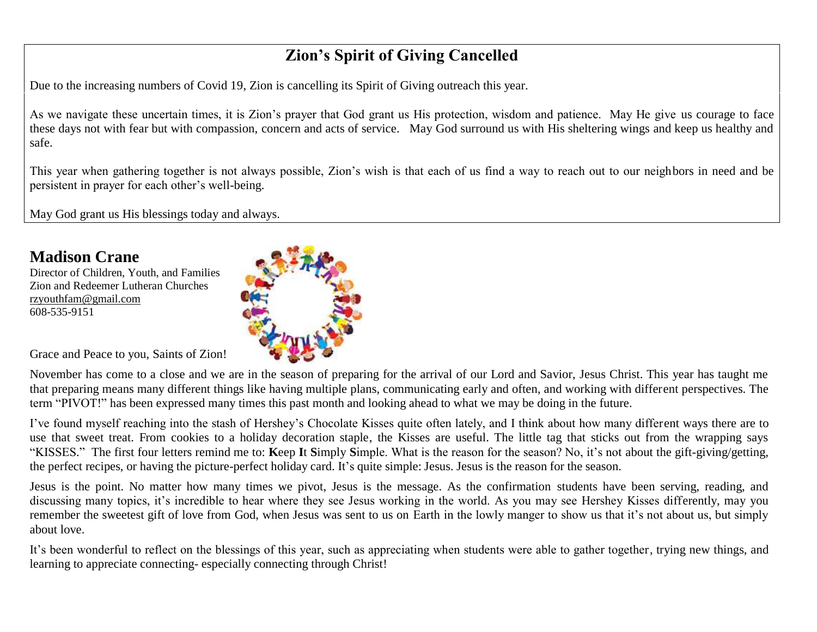## **Zion's Spirit of Giving Cancelled**

Due to the increasing numbers of Covid 19, Zion is cancelling its Spirit of Giving outreach this year.

As we navigate these uncertain times, it is Zion's prayer that God grant us His protection, wisdom and patience. May He give us courage to face these days not with fear but with compassion, concern and acts of service. May God surround us with His sheltering wings and keep us healthy and safe.

This year when gathering together is not always possible, Zion's wish is that each of us find a way to reach out to our neighbors in need and be persistent in prayer for each other's well-being.

May God grant us His blessings today and always.

### **Madison Crane**

Director of Children, Youth, and Families Zion and Redeemer Lutheran Churches [rzyouthfam@gmail.com](mailto:rzyouthfam@gmail.com) 608-535-9151



Grace and Peace to you, Saints of Zion!

November has come to a close and we are in the season of preparing for the arrival of our Lord and Savior, Jesus Christ. This year has taught me that preparing means many different things like having multiple plans, communicating early and often, and working with different perspectives. The term "PIVOT!" has been expressed many times this past month and looking ahead to what we may be doing in the future.

I've found myself reaching into the stash of Hershey's Chocolate Kisses quite often lately, and I think about how many different ways there are to use that sweet treat. From cookies to a holiday decoration staple, the Kisses are useful. The little tag that sticks out from the wrapping says "KISSES." The first four letters remind me to: **K**eep **I**t **S**imply **S**imple. What is the reason for the season? No, it's not about the gift-giving/getting, the perfect recipes, or having the picture-perfect holiday card. It's quite simple: Jesus. Jesus is the reason for the season.

Jesus is the point. No matter how many times we pivot, Jesus is the message. As the confirmation students have been serving, reading, and discussing many topics, it's incredible to hear where they see Jesus working in the world. As you may see Hershey Kisses differently, may you remember the sweetest gift of love from God, when Jesus was sent to us on Earth in the lowly manger to show us that it's not about us, but simply about love.

It's been wonderful to reflect on the blessings of this year, such as appreciating when students were able to gather together, trying new things, and learning to appreciate connecting- especially connecting through Christ!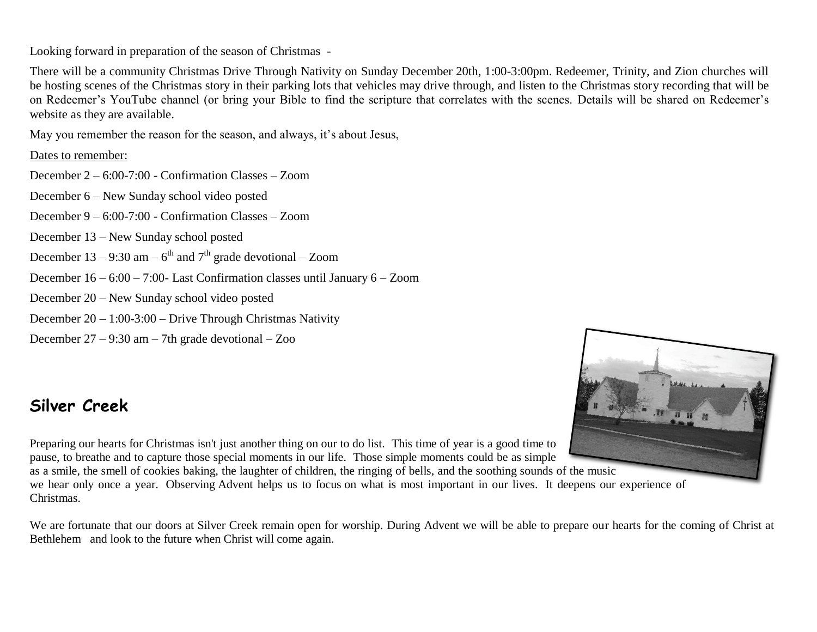Looking forward in preparation of the season of Christmas -

There will be a community Christmas Drive Through Nativity on Sunday December 20th, 1:00-3:00pm. Redeemer, Trinity, and Zion churches will be hosting scenes of the Christmas story in their parking lots that vehicles may drive through, and listen to the Christmas story recording that will be on Redeemer's YouTube channel (or bring your Bible to find the scripture that correlates with the scenes. Details will be shared on Redeemer's website as they are available.

May you remember the reason for the season, and always, it's about Jesus,

#### Dates to remember:

December 2 – 6:00-7:00 - Confirmation Classes – Zoom

December 6 – New Sunday school video posted

December 9 – 6:00-7:00 - Confirmation Classes – Zoom

December 13 – New Sunday school posted

December 13 – 9:30 am –  $6<sup>th</sup>$  and  $7<sup>th</sup>$  grade devotional – Zoom

December 16 – 6:00 – 7:00- Last Confirmation classes until January 6 – Zoom

December 20 – New Sunday school video posted

December 20 – 1:00-3:00 – Drive Through Christmas Nativity

December 27 – 9:30 am – 7th grade devotional – Zoo

## **Silver Creek**

Preparing our hearts for Christmas isn't just another thing on our to do list. This time of year is a good time to pause, to breathe and to capture those special moments in our life. Those simple moments could be as simple

as a smile, the smell of cookies baking, the laughter of children, the ringing of bells, and the soothing sounds of the music we hear only once a year. Observing Advent helps us to focus on what is most important in our lives. It deepens our experience of Christmas.

We are fortunate that our doors at Silver Creek remain open for worship. During Advent we will be able to prepare our hearts for the coming of Christ at Bethlehem and look to the future when Christ will come again.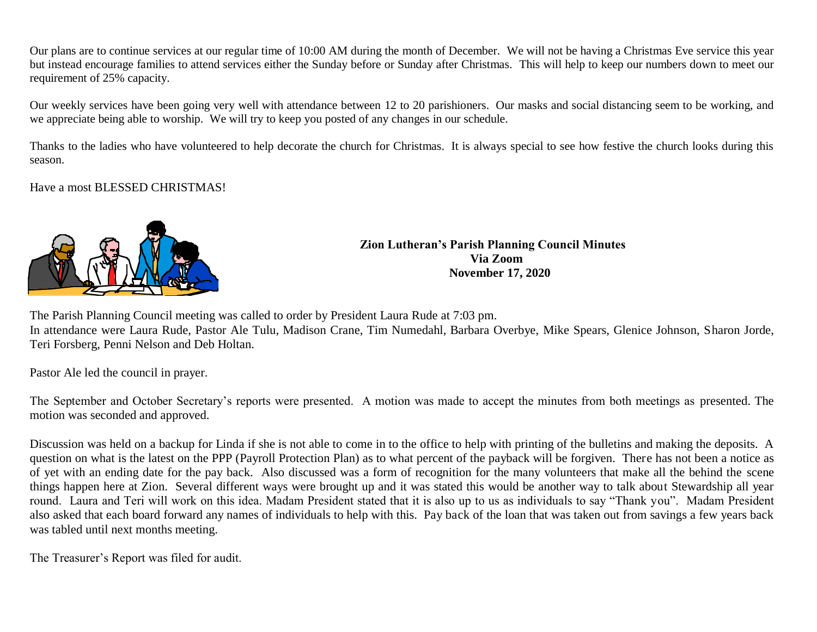Our plans are to continue services at our regular time of 10:00 AM during the month of December. We will not be having a Christmas Eve service this year but instead encourage families to attend services either the Sunday before or Sunday after Christmas. This will help to keep our numbers down to meet our requirement of 25% capacity.

Our weekly services have been going very well with attendance between 12 to 20 parishioners. Our masks and social distancing seem to be working, and we appreciate being able to worship. We will try to keep you posted of any changes in our schedule.

Thanks to the ladies who have volunteered to help decorate the church for Christmas. It is always special to see how festive the church looks during this season.

Have a most BLESSED CHRISTMAS!



**Zion Lutheran's Parish Planning Council Minutes Via Zoom November 17, 2020**

The Parish Planning Council meeting was called to order by President Laura Rude at 7:03 pm.

In attendance were Laura Rude, Pastor Ale Tulu, Madison Crane, Tim Numedahl, Barbara Overbye, Mike Spears, Glenice Johnson, Sharon Jorde, Teri Forsberg, Penni Nelson and Deb Holtan.

Pastor Ale led the council in prayer.

The September and October Secretary's reports were presented. A motion was made to accept the minutes from both meetings as presented. The motion was seconded and approved.

Discussion was held on a backup for Linda if she is not able to come in to the office to help with printing of the bulletins and making the deposits. A question on what is the latest on the PPP (Payroll Protection Plan) as to what percent of the payback will be forgiven. There has not been a notice as of yet with an ending date for the pay back. Also discussed was a form of recognition for the many volunteers that make all the behind the scene things happen here at Zion. Several different ways were brought up and it was stated this would be another way to talk about Stewardship all year round. Laura and Teri will work on this idea. Madam President stated that it is also up to us as individuals to say "Thank you". Madam President also asked that each board forward any names of individuals to help with this. Pay back of the loan that was taken out from savings a few years back was tabled until next months meeting.

The Treasurer's Report was filed for audit.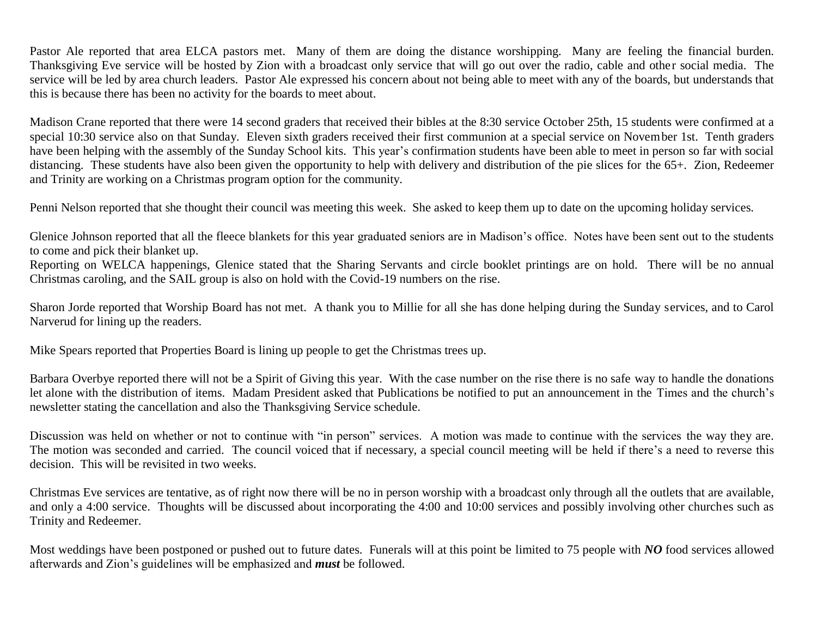Pastor Ale reported that area ELCA pastors met. Many of them are doing the distance worshipping. Many are feeling the financial burden. Thanksgiving Eve service will be hosted by Zion with a broadcast only service that will go out over the radio, cable and other social media. The service will be led by area church leaders. Pastor Ale expressed his concern about not being able to meet with any of the boards, but understands that this is because there has been no activity for the boards to meet about.

Madison Crane reported that there were 14 second graders that received their bibles at the 8:30 service October 25th, 15 students were confirmed at a special 10:30 service also on that Sunday. Eleven sixth graders received their first communion at a special service on November 1st. Tenth graders have been helping with the assembly of the Sunday School kits. This year's confirmation students have been able to meet in person so far with social distancing. These students have also been given the opportunity to help with delivery and distribution of the pie slices for the 65+. Zion, Redeemer and Trinity are working on a Christmas program option for the community.

Penni Nelson reported that she thought their council was meeting this week. She asked to keep them up to date on the upcoming holiday services.

Glenice Johnson reported that all the fleece blankets for this year graduated seniors are in Madison's office. Notes have been sent out to the students to come and pick their blanket up.

Reporting on WELCA happenings, Glenice stated that the Sharing Servants and circle booklet printings are on hold. There will be no annual Christmas caroling, and the SAIL group is also on hold with the Covid-19 numbers on the rise.

Sharon Jorde reported that Worship Board has not met. A thank you to Millie for all she has done helping during the Sunday services, and to Carol Narverud for lining up the readers.

Mike Spears reported that Properties Board is lining up people to get the Christmas trees up.

Barbara Overbye reported there will not be a Spirit of Giving this year. With the case number on the rise there is no safe way to handle the donations let alone with the distribution of items. Madam President asked that Publications be notified to put an announcement in the Times and the church's newsletter stating the cancellation and also the Thanksgiving Service schedule.

Discussion was held on whether or not to continue with "in person" services. A motion was made to continue with the services the way they are. The motion was seconded and carried. The council voiced that if necessary, a special council meeting will be held if there's a need to reverse this decision. This will be revisited in two weeks.

Christmas Eve services are tentative, as of right now there will be no in person worship with a broadcast only through all the outlets that are available, and only a 4:00 service. Thoughts will be discussed about incorporating the 4:00 and 10:00 services and possibly involving other churches such as Trinity and Redeemer.

Most weddings have been postponed or pushed out to future dates. Funerals will at this point be limited to 75 people with *NO* food services allowed afterwards and Zion's guidelines will be emphasized and *must* be followed.